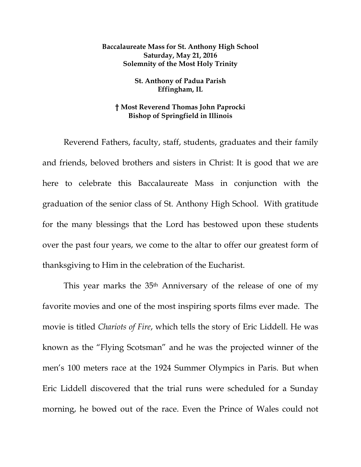## **Baccalaureate Mass for St. Anthony High School Saturday, May 21, 2016 Solemnity of the Most Holy Trinity**

## **St. Anthony of Padua Parish Effingham, IL**

## **† Most Reverend Thomas John Paprocki Bishop of Springfield in Illinois**

Reverend Fathers, faculty, staff, students, graduates and their family and friends, beloved brothers and sisters in Christ: It is good that we are here to celebrate this Baccalaureate Mass in conjunction with the graduation of the senior class of St. Anthony High School. With gratitude for the many blessings that the Lord has bestowed upon these students over the past four years, we come to the altar to offer our greatest form of thanksgiving to Him in the celebration of the Eucharist.

This year marks the 35<sup>th</sup> Anniversary of the release of one of my favorite movies and one of the most inspiring sports films ever made. The movie is titled *Chariots of Fire*, which tells the story of Eric Liddell. He was known as the "Flying Scotsman" and he was the projected winner of the men's 100 meters race at the 1924 Summer Olympics in Paris. But when Eric Liddell discovered that the trial runs were scheduled for a Sunday morning, he bowed out of the race. Even the Prince of Wales could not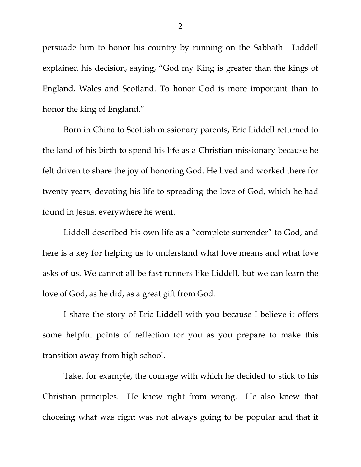persuade him to honor his country by running on the Sabbath. Liddell explained his decision, saying, "God my King is greater than the kings of England, Wales and Scotland. To honor God is more important than to honor the king of England."

Born in China to Scottish missionary parents, Eric Liddell returned to the land of his birth to spend his life as a Christian missionary because he felt driven to share the joy of honoring God. He lived and worked there for twenty years, devoting his life to spreading the love of God, which he had found in Jesus, everywhere he went.

Liddell described his own life as a "complete surrender" to God, and here is a key for helping us to understand what love means and what love asks of us. We cannot all be fast runners like Liddell, but we can learn the love of God, as he did, as a great gift from God.

I share the story of Eric Liddell with you because I believe it offers some helpful points of reflection for you as you prepare to make this transition away from high school.

Take, for example, the courage with which he decided to stick to his Christian principles. He knew right from wrong. He also knew that choosing what was right was not always going to be popular and that it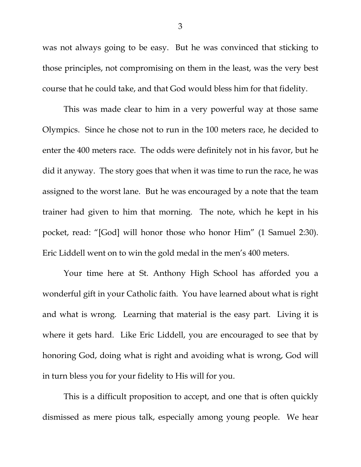was not always going to be easy. But he was convinced that sticking to those principles, not compromising on them in the least, was the very best course that he could take, and that God would bless him for that fidelity.

This was made clear to him in a very powerful way at those same Olympics. Since he chose not to run in the 100 meters race, he decided to enter the 400 meters race. The odds were definitely not in his favor, but he did it anyway. The story goes that when it was time to run the race, he was assigned to the worst lane. But he was encouraged by a note that the team trainer had given to him that morning. The note, which he kept in his pocket, read: "[God] will honor those who honor Him" (1 Samuel 2:30). Eric Liddell went on to win the gold medal in the men's 400 meters.

Your time here at St. Anthony High School has afforded you a wonderful gift in your Catholic faith. You have learned about what is right and what is wrong. Learning that material is the easy part. Living it is where it gets hard. Like Eric Liddell, you are encouraged to see that by honoring God, doing what is right and avoiding what is wrong, God will in turn bless you for your fidelity to His will for you.

This is a difficult proposition to accept, and one that is often quickly dismissed as mere pious talk, especially among young people. We hear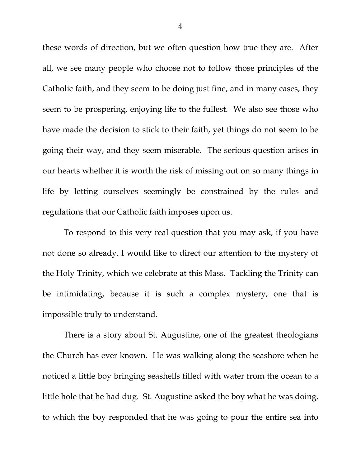these words of direction, but we often question how true they are. After all, we see many people who choose not to follow those principles of the Catholic faith, and they seem to be doing just fine, and in many cases, they seem to be prospering, enjoying life to the fullest. We also see those who have made the decision to stick to their faith, yet things do not seem to be going their way, and they seem miserable. The serious question arises in our hearts whether it is worth the risk of missing out on so many things in life by letting ourselves seemingly be constrained by the rules and regulations that our Catholic faith imposes upon us.

To respond to this very real question that you may ask, if you have not done so already, I would like to direct our attention to the mystery of the Holy Trinity, which we celebrate at this Mass. Tackling the Trinity can be intimidating, because it is such a complex mystery, one that is impossible truly to understand.

There is a story about St. Augustine, one of the greatest theologians the Church has ever known. He was walking along the seashore when he noticed a little boy bringing seashells filled with water from the ocean to a little hole that he had dug. St. Augustine asked the boy what he was doing, to which the boy responded that he was going to pour the entire sea into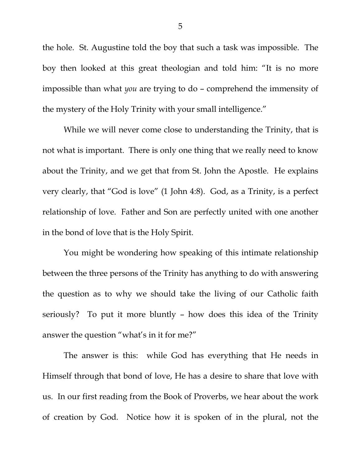the hole. St. Augustine told the boy that such a task was impossible. The boy then looked at this great theologian and told him: "It is no more impossible than what *you* are trying to do – comprehend the immensity of the mystery of the Holy Trinity with your small intelligence."

While we will never come close to understanding the Trinity, that is not what is important. There is only one thing that we really need to know about the Trinity, and we get that from St. John the Apostle. He explains very clearly, that "God is love" (1 John 4:8). God, as a Trinity, is a perfect relationship of love. Father and Son are perfectly united with one another in the bond of love that is the Holy Spirit.

You might be wondering how speaking of this intimate relationship between the three persons of the Trinity has anything to do with answering the question as to why we should take the living of our Catholic faith seriously? To put it more bluntly – how does this idea of the Trinity answer the question "what's in it for me?"

The answer is this: while God has everything that He needs in Himself through that bond of love, He has a desire to share that love with us. In our first reading from the Book of Proverbs, we hear about the work of creation by God. Notice how it is spoken of in the plural, not the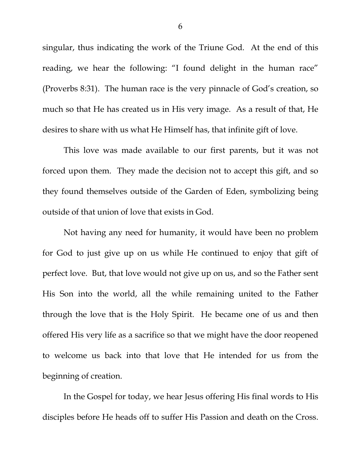singular, thus indicating the work of the Triune God. At the end of this reading, we hear the following: "I found delight in the human race" (Proverbs 8:31). The human race is the very pinnacle of God's creation, so much so that He has created us in His very image. As a result of that, He desires to share with us what He Himself has, that infinite gift of love.

This love was made available to our first parents, but it was not forced upon them. They made the decision not to accept this gift, and so they found themselves outside of the Garden of Eden, symbolizing being outside of that union of love that exists in God.

Not having any need for humanity, it would have been no problem for God to just give up on us while He continued to enjoy that gift of perfect love. But, that love would not give up on us, and so the Father sent His Son into the world, all the while remaining united to the Father through the love that is the Holy Spirit. He became one of us and then offered His very life as a sacrifice so that we might have the door reopened to welcome us back into that love that He intended for us from the beginning of creation.

In the Gospel for today, we hear Jesus offering His final words to His disciples before He heads off to suffer His Passion and death on the Cross.

6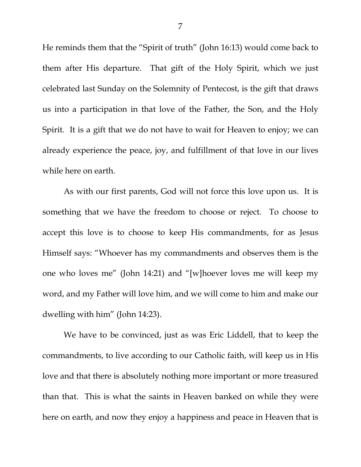He reminds them that the "Spirit of truth" (John 16:13) would come back to them after His departure. That gift of the Holy Spirit, which we just celebrated last Sunday on the Solemnity of Pentecost, is the gift that draws us into a participation in that love of the Father, the Son, and the Holy Spirit. It is a gift that we do not have to wait for Heaven to enjoy; we can already experience the peace, joy, and fulfillment of that love in our lives while here on earth.

As with our first parents, God will not force this love upon us. It is something that we have the freedom to choose or reject. To choose to accept this love is to choose to keep His commandments, for as Jesus Himself says: "Whoever has my commandments and observes them is the one who loves me" (John 14:21) and "[w]hoever loves me will keep my word, and my Father will love him, and we will come to him and make our dwelling with him" (John 14:23).

We have to be convinced, just as was Eric Liddell, that to keep the commandments, to live according to our Catholic faith, will keep us in His love and that there is absolutely nothing more important or more treasured than that. This is what the saints in Heaven banked on while they were here on earth, and now they enjoy a happiness and peace in Heaven that is

7